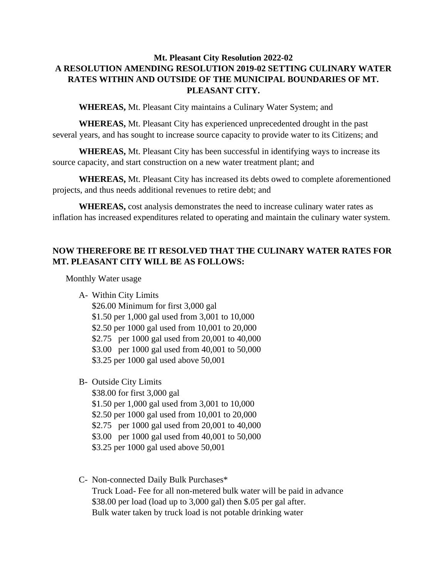## **Mt. Pleasant City Resolution 2022-02 A RESOLUTION AMENDING RESOLUTION 2019-02 SETTING CULINARY WATER RATES WITHIN AND OUTSIDE OF THE MUNICIPAL BOUNDARIES OF MT. PLEASANT CITY.**

**WHEREAS,** Mt. Pleasant City maintains a Culinary Water System; and

**WHEREAS,** Mt. Pleasant City has experienced unprecedented drought in the past several years, and has sought to increase source capacity to provide water to its Citizens; and

**WHEREAS,** Mt. Pleasant City has been successful in identifying ways to increase its source capacity, and start construction on a new water treatment plant; and

**WHEREAS,** Mt. Pleasant City has increased its debts owed to complete aforementioned projects, and thus needs additional revenues to retire debt; and

**WHEREAS,** cost analysis demonstrates the need to increase culinary water rates as inflation has increased expenditures related to operating and maintain the culinary water system.

## **NOW THEREFORE BE IT RESOLVED THAT THE CULINARY WATER RATES FOR MT. PLEASANT CITY WILL BE AS FOLLOWS:**

Monthly Water usage

A- Within City Limits

\$26.00 Minimum for first 3,000 gal \$1.50 per 1,000 gal used from 3,001 to 10,000 \$2.50 per 1000 gal used from 10,001 to 20,000 \$2.75 per 1000 gal used from 20,001 to 40,000 \$3.00 per 1000 gal used from 40,001 to 50,000 \$3.25 per 1000 gal used above 50,001

B- Outside City Limits

\$38.00 for first 3,000 gal \$1.50 per 1,000 gal used from 3,001 to 10,000 \$2.50 per 1000 gal used from 10,001 to 20,000 \$2.75 per 1000 gal used from 20,001 to 40,000 \$3.00 per 1000 gal used from 40,001 to 50,000 \$3.25 per 1000 gal used above 50,001

C- Non-connected Daily Bulk Purchases\* Truck Load- Fee for all non-metered bulk water will be paid in advance \$38.00 per load (load up to 3,000 gal) then \$.05 per gal after. Bulk water taken by truck load is not potable drinking water